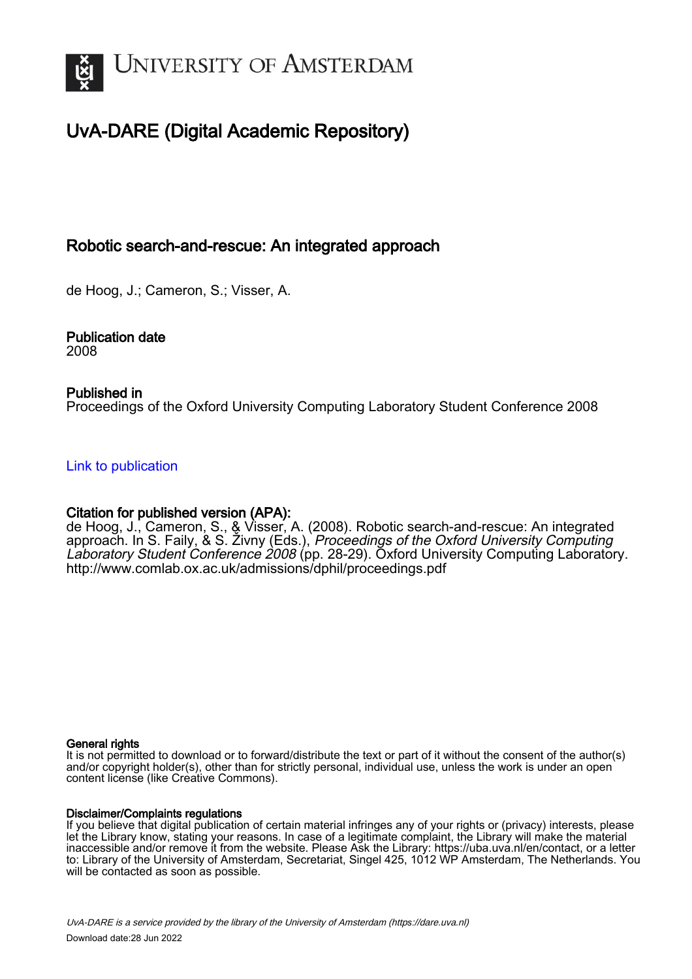

# UvA-DARE (Digital Academic Repository)

# Robotic search-and-rescue: An integrated approach

de Hoog, J.; Cameron, S.; Visser, A.

Publication date 2008

### Published in

Proceedings of the Oxford University Computing Laboratory Student Conference 2008

[Link to publication](https://dare.uva.nl/personal/pure/en/publications/robotic-searchandrescue-an-integrated-approach(cb0fecf0-95a6-480a-be09-f38f3a441c7c).html)

### Citation for published version (APA):

de Hoog, J., Cameron, S., & Visser, A. (2008). Robotic search-and-rescue: An integrated approach. In S. Faily, & S. Zivny (Eds.), *Proceedings of the Oxford University Computing* Laboratory Student Conference 2008 (pp. 28-29). Oxford University Computing Laboratory. <http://www.comlab.ox.ac.uk/admissions/dphil/proceedings.pdf>

#### General rights

It is not permitted to download or to forward/distribute the text or part of it without the consent of the author(s) and/or copyright holder(s), other than for strictly personal, individual use, unless the work is under an open content license (like Creative Commons).

#### Disclaimer/Complaints regulations

If you believe that digital publication of certain material infringes any of your rights or (privacy) interests, please let the Library know, stating your reasons. In case of a legitimate complaint, the Library will make the material inaccessible and/or remove it from the website. Please Ask the Library: https://uba.uva.nl/en/contact, or a letter to: Library of the University of Amsterdam, Secretariat, Singel 425, 1012 WP Amsterdam, The Netherlands. You will be contacted as soon as possible.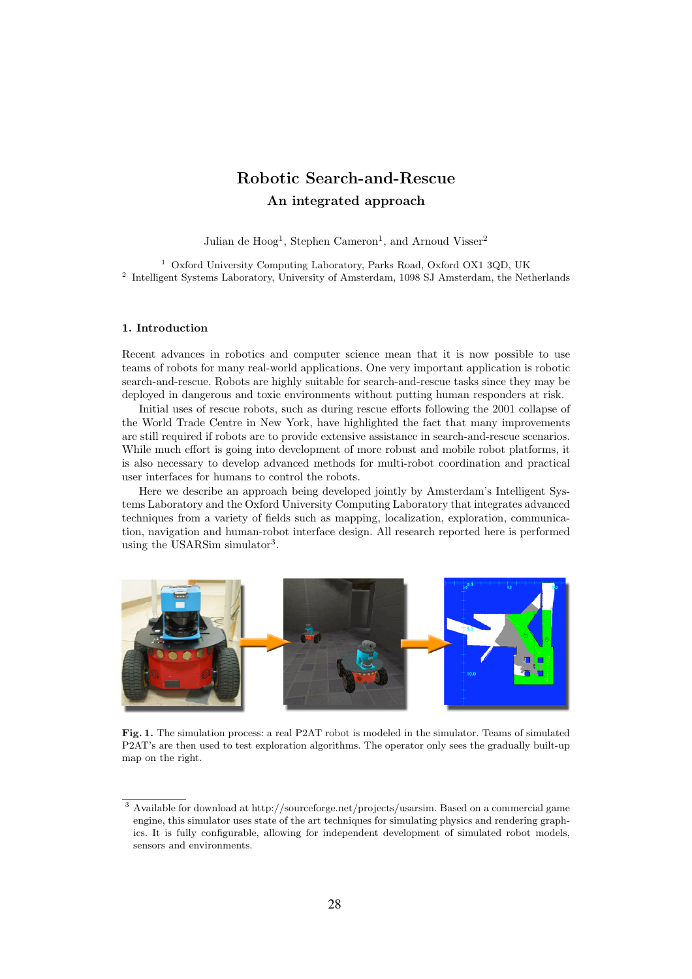# Robotic Search-and-Rescue An integrated approach

Julian de  $Hooq<sup>1</sup>$ , Stephen Cameron<sup>1</sup>, and Arnoud Visser<sup>2</sup>

<sup>1</sup> Oxford University Computing Laboratory, Parks Road, Oxford OX1 3QD, UK <sup>2</sup> Intelligent Systems Laboratory, University of Amsterdam, 1098 SJ Amsterdam, the Netherlands

#### 1. Introduction

Recent advances in robotics and computer science mean that it is now possible to use teams of robots for many real-world applications. One very important application is robotic search-and-rescue. Robots are highly suitable for search-and-rescue tasks since they may be deployed in dangerous and toxic environments without putting human responders at risk.

Initial uses of rescue robots, such as during rescue efforts following the 2001 collapse of the World Trade Centre in New York, have highlighted the fact that many improvements are still required if robots are to provide extensive assistance in search-and-rescue scenarios. While much effort is going into development of more robust and mobile robot platforms, it is also necessary to develop advanced methods for multi-robot coordination and practical user interfaces for humans to control the robots.

Here we describe an approach being developed jointly by Amsterdam's Intelligent Systems Laboratory and the Oxford University Computing Laboratory that integrates advanced techniques from a variety of fields such as mapping, localization, exploration, communication, navigation and human-robot interface design. All research reported here is performed using the USARSim simulator<sup>3</sup>.



Fig. 1. The simulation process: a real P2AT robot is modeled in the simulator. Teams of simulated P2AT's are then used to test exploration algorithms. The operator only sees the gradually built-up map on the right.

 $^3$  Available for download at http://sourceforge.net/projects/usarsim. Based on a commercial game engine, this simulator uses state of the art techniques for simulating physics and rendering graphics. It is fully configurable, allowing for independent development of simulated robot models, sensors and environments.